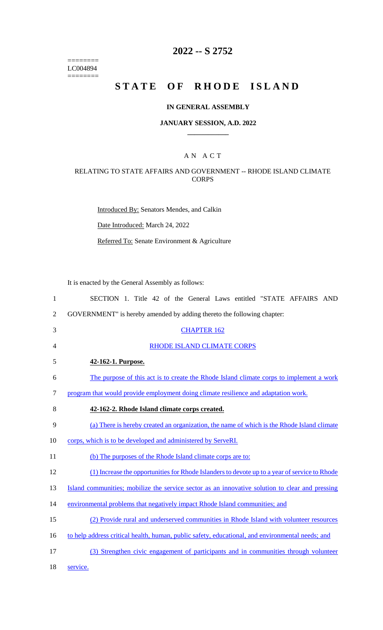======== LC004894  $=$ 

# **2022 -- S 2752**

# STATE OF RHODE ISLAND

## **IN GENERAL ASSEMBLY**

## **JANUARY SESSION, A.D. 2022 \_\_\_\_\_\_\_\_\_\_\_\_**

## A N A C T

## RELATING TO STATE AFFAIRS AND GOVERNMENT -- RHODE ISLAND CLIMATE **CORPS**

Introduced By: Senators Mendes, and Calkin

Date Introduced: March 24, 2022

Referred To: Senate Environment & Agriculture

It is enacted by the General Assembly as follows:

| 1              | SECTION 1. Title 42 of the General Laws entitled "STATE AFFAIRS AND                              |
|----------------|--------------------------------------------------------------------------------------------------|
| $\overline{2}$ | GOVERNMENT" is hereby amended by adding thereto the following chapter:                           |
| 3              | <b>CHAPTER 162</b>                                                                               |
| 4              | <b>RHODE ISLAND CLIMATE CORPS</b>                                                                |
| 5              | 42-162-1. Purpose.                                                                               |
| 6              | The purpose of this act is to create the Rhode Island climate corps to implement a work          |
| $\tau$         | program that would provide employment doing climate resilience and adaptation work.              |
| 8              | 42-162-2. Rhode Island climate corps created.                                                    |
| 9              | (a) There is hereby created an organization, the name of which is the Rhode Island climate       |
| 10             | corps, which is to be developed and administered by ServeRI.                                     |
| 11             | (b) The purposes of the Rhode Island climate corps are to:                                       |
| 12             | (1) Increase the opportunities for Rhode Islanders to devote up to a year of service to Rhode    |
| 13             | Island communities; mobilize the service sector as an innovative solution to clear and pressing  |
| 14             | environmental problems that negatively impact Rhode Island communities; and                      |
| 15             | (2) Provide rural and underserved communities in Rhode Island with volunteer resources           |
| 16             | to help address critical health, human, public safety, educational, and environmental needs; and |
| 17             | (3) Strengthen civic engagement of participants and in communities through volunteer             |
| 18             | service.                                                                                         |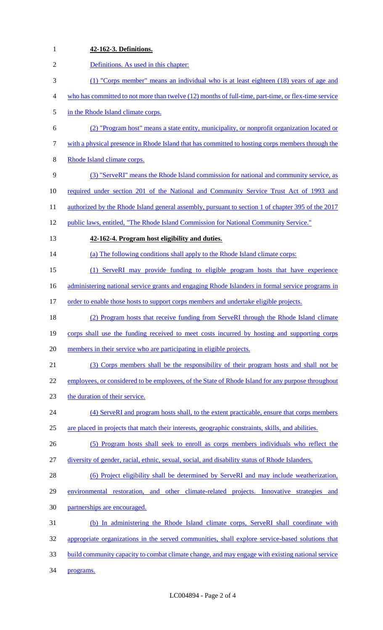| $\mathbf{1}$   | 42-162-3. Definitions.                                                                              |
|----------------|-----------------------------------------------------------------------------------------------------|
| $\overline{2}$ | Definitions. As used in this chapter:                                                               |
| 3              | (1) "Corps member" means an individual who is at least eighteen (18) years of age and               |
| 4              | who has committed to not more than twelve (12) months of full-time, part-time, or flex-time service |
| 5              | in the Rhode Island climate corps.                                                                  |
| 6              | (2) "Program host" means a state entity, municipality, or nonprofit organization located or         |
| 7              | with a physical presence in Rhode Island that has committed to hosting corps members through the    |
| 8              | Rhode Island climate corps.                                                                         |
| 9              | (3) "ServeRI" means the Rhode Island commission for national and community service, as              |
| 10             | required under section 201 of the National and Community Service Trust Act of 1993 and              |
| 11             | authorized by the Rhode Island general assembly, pursuant to section 1 of chapter 395 of the 2017   |
| 12             | public laws, entitled, "The Rhode Island Commission for National Community Service."                |
| 13             | 42-162-4. Program host eligibility and duties.                                                      |
| 14             | (a) The following conditions shall apply to the Rhode Island climate corps:                         |
| 15             | (1) ServeRI may provide funding to eligible program hosts that have experience                      |
| 16             | administering national service grants and engaging Rhode Islanders in formal service programs in    |
| 17             | order to enable those hosts to support corps members and undertake eligible projects.               |
| 18             | (2) Program hosts that receive funding from ServeRI through the Rhode Island climate                |
| 19             | corps shall use the funding received to meet costs incurred by hosting and supporting corps         |
| 20             | members in their service who are participating in eligible projects.                                |
| 21             | (3) Corps members shall be the responsibility of their program hosts and shall not be               |
| 22             | employees, or considered to be employees, of the State of Rhode Island for any purpose throughout   |
| 23             | the duration of their service.                                                                      |
| 24             | (4) ServeRI and program hosts shall, to the extent practicable, ensure that corps members           |
| 25             | are placed in projects that match their interests, geographic constraints, skills, and abilities.   |
| 26             | (5) Program hosts shall seek to enroll as corps members individuals who reflect the                 |
| 27             | diversity of gender, racial, ethnic, sexual, social, and disability status of Rhode Islanders.      |
| 28             | (6) Project eligibility shall be determined by ServeRI and may include weatherization,              |
| 29             | environmental restoration, and other climate-related projects. Innovative strategies and            |
| 30             | partnerships are encouraged.                                                                        |
| 31             | (b) In administering the Rhode Island climate corps, ServeRI shall coordinate with                  |
| 32             | appropriate organizations in the served communities, shall explore service-based solutions that     |
| 33             | build community capacity to combat climate change, and may engage with existing national service    |
| 34             | programs.                                                                                           |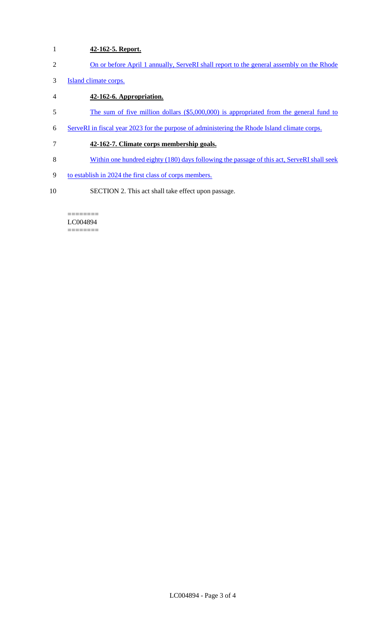- 1 **42-162-5. Report.**
- 2 On or before April 1 annually, ServeRI shall report to the general assembly on the Rhode
- 3 Island climate corps.
- 4 **42-162-6. Appropriation.**
- 5 The sum of five million dollars (\$5,000,000) is appropriated from the general fund to
- 6 ServeRI in fiscal year 2023 for the purpose of administering the Rhode Island climate corps.
- 7 **42-162-7. Climate corps membership goals.**
- 8 Within one hundred eighty (180) days following the passage of this act, ServeRI shall seek
- 9 to establish in 2024 the first class of corps members.
- 10 SECTION 2. This act shall take effect upon passage.

======== LC004894 ========